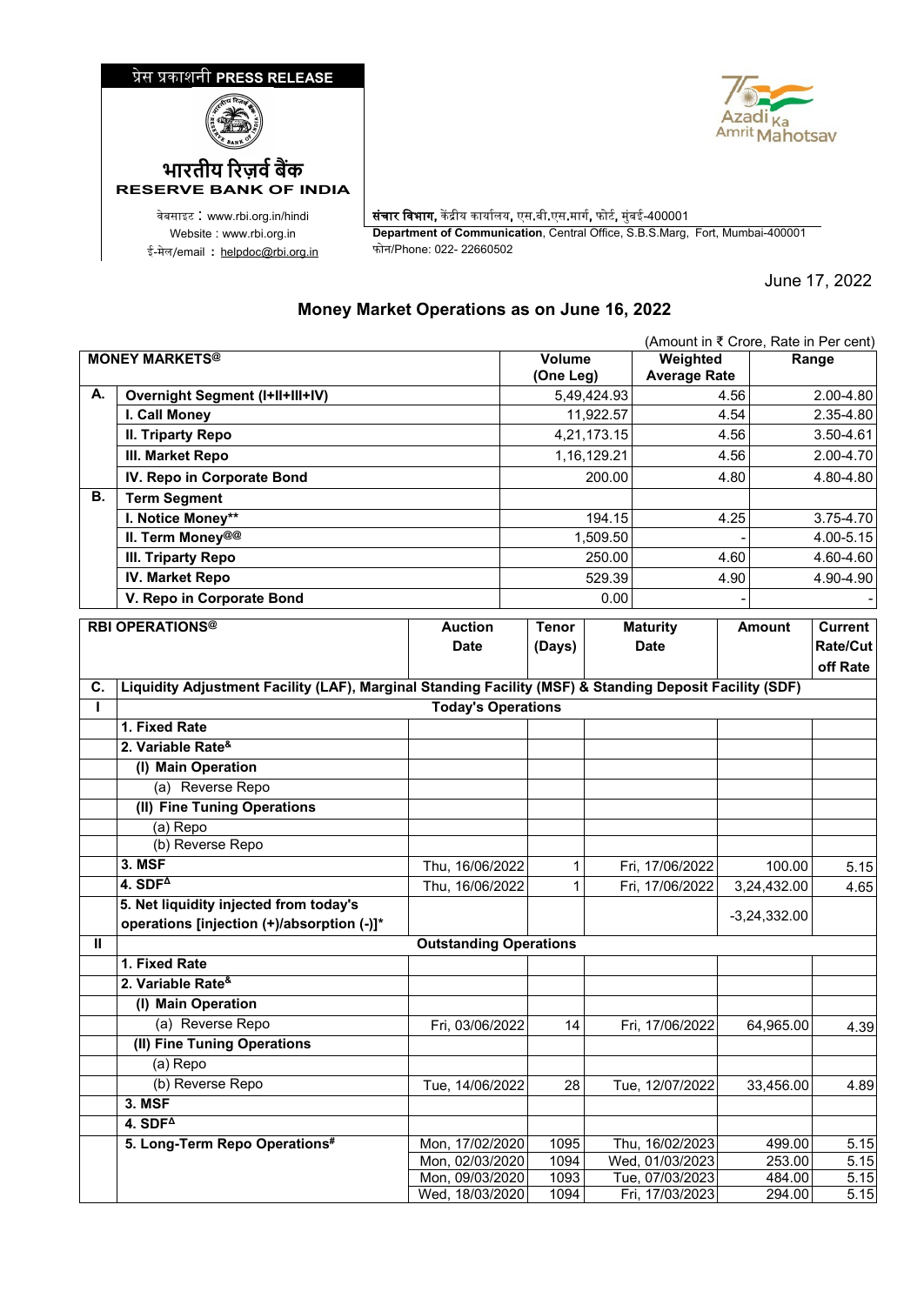## �ेस �काशनी **PRESS RELEASE**





ई-मेल/email : <u>[helpdoc@rbi.org.in](mailto:helpdoc@rbi.org.in)</u>

**RESERVE BANK OF INDIA**

वेबसाइट : www.rbi.org.in/hindi | संचार विभाग, केंद्रीय कार्यालय, एस.बी.एस.मार्ग, फोर्ट, मुंबई-400001 Website : www.rbi.org.in **Department of Communication**, Central Office, S.B.S.Marg, Fort, Mumbai-400001

June 17, 2022

## **Money Market Operations as on June 16, 2022**

| <b>MONEY MARKETS®</b><br>Range<br><b>Average Rate</b><br>(One Leg)<br>А.<br><b>Overnight Segment (I+II+III+IV)</b><br>5,49,424.93<br>4.56<br>2.00-4.80<br>I. Call Money<br>11,922.57<br>4.54<br>2.35-4.80<br><b>II. Triparty Repo</b><br>4,21,173.15<br>3.50-4.61<br>4.56<br>1,16,129.21<br>2.00-4.70<br>III. Market Repo<br>4.56<br>IV. Repo in Corporate Bond<br>200.00<br>4.80-4.80<br>4.80<br>В.<br><b>Term Segment</b><br>I. Notice Money**<br>194.15<br>4.25<br>3.75-4.70<br>II. Term Money@@<br>1,509.50<br>4.00-5.15<br><b>III. Triparty Repo</b><br>250.00<br>4.60<br>4.60-4.60<br><b>IV. Market Repo</b><br>529.39<br>4.90-4.90<br>4.90<br>V. Repo in Corporate Bond<br>0.00<br><b>RBI OPERATIONS®</b><br><b>Auction</b><br><b>Tenor</b><br><b>Maturity</b><br>Current<br><b>Amount</b><br><b>Date</b><br><b>Date</b><br>Rate/Cut<br>(Days)<br>off Rate<br>Liquidity Adjustment Facility (LAF), Marginal Standing Facility (MSF) & Standing Deposit Facility (SDF)<br>С.<br><b>Today's Operations</b><br>T<br>1. Fixed Rate<br>2. Variable Rate <sup>&amp;</sup><br>(I) Main Operation<br>(a) Reverse Repo<br>(II) Fine Tuning Operations<br>(a) Repo<br>(b) Reverse Repo<br>3. MSF<br>Thu, 16/06/2022<br>Fri, 17/06/2022<br>100.00<br>1<br>4. $SDF4$<br>Thu, 16/06/2022<br>Fri, 17/06/2022<br>1<br>3,24,432.00<br>4.65<br>5. Net liquidity injected from today's<br>$-3,24,332.00$<br>operations [injection (+)/absorption (-)]*<br><b>Outstanding Operations</b><br>Ш<br>1. Fixed Rate<br>2. Variable Rate <sup>&amp;</sup><br>(I) Main Operation<br>(a) Reverse Repo<br>Fri, 03/06/2022<br>14<br>Fri, 17/06/2022<br>64,965.00<br>(II) Fine Tuning Operations<br>(a) Repo |  |  |        |  |          | (Amount in ₹ Crore, Rate in Per cent) |  |  |  |
|---------------------------------------------------------------------------------------------------------------------------------------------------------------------------------------------------------------------------------------------------------------------------------------------------------------------------------------------------------------------------------------------------------------------------------------------------------------------------------------------------------------------------------------------------------------------------------------------------------------------------------------------------------------------------------------------------------------------------------------------------------------------------------------------------------------------------------------------------------------------------------------------------------------------------------------------------------------------------------------------------------------------------------------------------------------------------------------------------------------------------------------------------------------------------------------------------------------------------------------------------------------------------------------------------------------------------------------------------------------------------------------------------------------------------------------------------------------------------------------------------------------------------------------------------------------------------------------------------------------------------------------------------------------------------------------|--|--|--------|--|----------|---------------------------------------|--|--|--|
| 5.15<br>4.39                                                                                                                                                                                                                                                                                                                                                                                                                                                                                                                                                                                                                                                                                                                                                                                                                                                                                                                                                                                                                                                                                                                                                                                                                                                                                                                                                                                                                                                                                                                                                                                                                                                                          |  |  | Volume |  | Weighted |                                       |  |  |  |
|                                                                                                                                                                                                                                                                                                                                                                                                                                                                                                                                                                                                                                                                                                                                                                                                                                                                                                                                                                                                                                                                                                                                                                                                                                                                                                                                                                                                                                                                                                                                                                                                                                                                                       |  |  |        |  |          |                                       |  |  |  |
|                                                                                                                                                                                                                                                                                                                                                                                                                                                                                                                                                                                                                                                                                                                                                                                                                                                                                                                                                                                                                                                                                                                                                                                                                                                                                                                                                                                                                                                                                                                                                                                                                                                                                       |  |  |        |  |          |                                       |  |  |  |
|                                                                                                                                                                                                                                                                                                                                                                                                                                                                                                                                                                                                                                                                                                                                                                                                                                                                                                                                                                                                                                                                                                                                                                                                                                                                                                                                                                                                                                                                                                                                                                                                                                                                                       |  |  |        |  |          |                                       |  |  |  |
|                                                                                                                                                                                                                                                                                                                                                                                                                                                                                                                                                                                                                                                                                                                                                                                                                                                                                                                                                                                                                                                                                                                                                                                                                                                                                                                                                                                                                                                                                                                                                                                                                                                                                       |  |  |        |  |          |                                       |  |  |  |
|                                                                                                                                                                                                                                                                                                                                                                                                                                                                                                                                                                                                                                                                                                                                                                                                                                                                                                                                                                                                                                                                                                                                                                                                                                                                                                                                                                                                                                                                                                                                                                                                                                                                                       |  |  |        |  |          |                                       |  |  |  |
|                                                                                                                                                                                                                                                                                                                                                                                                                                                                                                                                                                                                                                                                                                                                                                                                                                                                                                                                                                                                                                                                                                                                                                                                                                                                                                                                                                                                                                                                                                                                                                                                                                                                                       |  |  |        |  |          |                                       |  |  |  |
|                                                                                                                                                                                                                                                                                                                                                                                                                                                                                                                                                                                                                                                                                                                                                                                                                                                                                                                                                                                                                                                                                                                                                                                                                                                                                                                                                                                                                                                                                                                                                                                                                                                                                       |  |  |        |  |          |                                       |  |  |  |
|                                                                                                                                                                                                                                                                                                                                                                                                                                                                                                                                                                                                                                                                                                                                                                                                                                                                                                                                                                                                                                                                                                                                                                                                                                                                                                                                                                                                                                                                                                                                                                                                                                                                                       |  |  |        |  |          |                                       |  |  |  |
|                                                                                                                                                                                                                                                                                                                                                                                                                                                                                                                                                                                                                                                                                                                                                                                                                                                                                                                                                                                                                                                                                                                                                                                                                                                                                                                                                                                                                                                                                                                                                                                                                                                                                       |  |  |        |  |          |                                       |  |  |  |
|                                                                                                                                                                                                                                                                                                                                                                                                                                                                                                                                                                                                                                                                                                                                                                                                                                                                                                                                                                                                                                                                                                                                                                                                                                                                                                                                                                                                                                                                                                                                                                                                                                                                                       |  |  |        |  |          |                                       |  |  |  |
|                                                                                                                                                                                                                                                                                                                                                                                                                                                                                                                                                                                                                                                                                                                                                                                                                                                                                                                                                                                                                                                                                                                                                                                                                                                                                                                                                                                                                                                                                                                                                                                                                                                                                       |  |  |        |  |          |                                       |  |  |  |
|                                                                                                                                                                                                                                                                                                                                                                                                                                                                                                                                                                                                                                                                                                                                                                                                                                                                                                                                                                                                                                                                                                                                                                                                                                                                                                                                                                                                                                                                                                                                                                                                                                                                                       |  |  |        |  |          |                                       |  |  |  |
|                                                                                                                                                                                                                                                                                                                                                                                                                                                                                                                                                                                                                                                                                                                                                                                                                                                                                                                                                                                                                                                                                                                                                                                                                                                                                                                                                                                                                                                                                                                                                                                                                                                                                       |  |  |        |  |          |                                       |  |  |  |
|                                                                                                                                                                                                                                                                                                                                                                                                                                                                                                                                                                                                                                                                                                                                                                                                                                                                                                                                                                                                                                                                                                                                                                                                                                                                                                                                                                                                                                                                                                                                                                                                                                                                                       |  |  |        |  |          |                                       |  |  |  |
|                                                                                                                                                                                                                                                                                                                                                                                                                                                                                                                                                                                                                                                                                                                                                                                                                                                                                                                                                                                                                                                                                                                                                                                                                                                                                                                                                                                                                                                                                                                                                                                                                                                                                       |  |  |        |  |          |                                       |  |  |  |
|                                                                                                                                                                                                                                                                                                                                                                                                                                                                                                                                                                                                                                                                                                                                                                                                                                                                                                                                                                                                                                                                                                                                                                                                                                                                                                                                                                                                                                                                                                                                                                                                                                                                                       |  |  |        |  |          |                                       |  |  |  |
|                                                                                                                                                                                                                                                                                                                                                                                                                                                                                                                                                                                                                                                                                                                                                                                                                                                                                                                                                                                                                                                                                                                                                                                                                                                                                                                                                                                                                                                                                                                                                                                                                                                                                       |  |  |        |  |          |                                       |  |  |  |
|                                                                                                                                                                                                                                                                                                                                                                                                                                                                                                                                                                                                                                                                                                                                                                                                                                                                                                                                                                                                                                                                                                                                                                                                                                                                                                                                                                                                                                                                                                                                                                                                                                                                                       |  |  |        |  |          |                                       |  |  |  |
|                                                                                                                                                                                                                                                                                                                                                                                                                                                                                                                                                                                                                                                                                                                                                                                                                                                                                                                                                                                                                                                                                                                                                                                                                                                                                                                                                                                                                                                                                                                                                                                                                                                                                       |  |  |        |  |          |                                       |  |  |  |
|                                                                                                                                                                                                                                                                                                                                                                                                                                                                                                                                                                                                                                                                                                                                                                                                                                                                                                                                                                                                                                                                                                                                                                                                                                                                                                                                                                                                                                                                                                                                                                                                                                                                                       |  |  |        |  |          |                                       |  |  |  |
|                                                                                                                                                                                                                                                                                                                                                                                                                                                                                                                                                                                                                                                                                                                                                                                                                                                                                                                                                                                                                                                                                                                                                                                                                                                                                                                                                                                                                                                                                                                                                                                                                                                                                       |  |  |        |  |          |                                       |  |  |  |
|                                                                                                                                                                                                                                                                                                                                                                                                                                                                                                                                                                                                                                                                                                                                                                                                                                                                                                                                                                                                                                                                                                                                                                                                                                                                                                                                                                                                                                                                                                                                                                                                                                                                                       |  |  |        |  |          |                                       |  |  |  |
|                                                                                                                                                                                                                                                                                                                                                                                                                                                                                                                                                                                                                                                                                                                                                                                                                                                                                                                                                                                                                                                                                                                                                                                                                                                                                                                                                                                                                                                                                                                                                                                                                                                                                       |  |  |        |  |          |                                       |  |  |  |
|                                                                                                                                                                                                                                                                                                                                                                                                                                                                                                                                                                                                                                                                                                                                                                                                                                                                                                                                                                                                                                                                                                                                                                                                                                                                                                                                                                                                                                                                                                                                                                                                                                                                                       |  |  |        |  |          |                                       |  |  |  |
|                                                                                                                                                                                                                                                                                                                                                                                                                                                                                                                                                                                                                                                                                                                                                                                                                                                                                                                                                                                                                                                                                                                                                                                                                                                                                                                                                                                                                                                                                                                                                                                                                                                                                       |  |  |        |  |          |                                       |  |  |  |
|                                                                                                                                                                                                                                                                                                                                                                                                                                                                                                                                                                                                                                                                                                                                                                                                                                                                                                                                                                                                                                                                                                                                                                                                                                                                                                                                                                                                                                                                                                                                                                                                                                                                                       |  |  |        |  |          |                                       |  |  |  |
|                                                                                                                                                                                                                                                                                                                                                                                                                                                                                                                                                                                                                                                                                                                                                                                                                                                                                                                                                                                                                                                                                                                                                                                                                                                                                                                                                                                                                                                                                                                                                                                                                                                                                       |  |  |        |  |          |                                       |  |  |  |
|                                                                                                                                                                                                                                                                                                                                                                                                                                                                                                                                                                                                                                                                                                                                                                                                                                                                                                                                                                                                                                                                                                                                                                                                                                                                                                                                                                                                                                                                                                                                                                                                                                                                                       |  |  |        |  |          |                                       |  |  |  |
|                                                                                                                                                                                                                                                                                                                                                                                                                                                                                                                                                                                                                                                                                                                                                                                                                                                                                                                                                                                                                                                                                                                                                                                                                                                                                                                                                                                                                                                                                                                                                                                                                                                                                       |  |  |        |  |          |                                       |  |  |  |
|                                                                                                                                                                                                                                                                                                                                                                                                                                                                                                                                                                                                                                                                                                                                                                                                                                                                                                                                                                                                                                                                                                                                                                                                                                                                                                                                                                                                                                                                                                                                                                                                                                                                                       |  |  |        |  |          |                                       |  |  |  |
|                                                                                                                                                                                                                                                                                                                                                                                                                                                                                                                                                                                                                                                                                                                                                                                                                                                                                                                                                                                                                                                                                                                                                                                                                                                                                                                                                                                                                                                                                                                                                                                                                                                                                       |  |  |        |  |          |                                       |  |  |  |
|                                                                                                                                                                                                                                                                                                                                                                                                                                                                                                                                                                                                                                                                                                                                                                                                                                                                                                                                                                                                                                                                                                                                                                                                                                                                                                                                                                                                                                                                                                                                                                                                                                                                                       |  |  |        |  |          |                                       |  |  |  |
|                                                                                                                                                                                                                                                                                                                                                                                                                                                                                                                                                                                                                                                                                                                                                                                                                                                                                                                                                                                                                                                                                                                                                                                                                                                                                                                                                                                                                                                                                                                                                                                                                                                                                       |  |  |        |  |          |                                       |  |  |  |
|                                                                                                                                                                                                                                                                                                                                                                                                                                                                                                                                                                                                                                                                                                                                                                                                                                                                                                                                                                                                                                                                                                                                                                                                                                                                                                                                                                                                                                                                                                                                                                                                                                                                                       |  |  |        |  |          |                                       |  |  |  |
| (b) Reverse Repo<br>33,456.00<br>Tue, 14/06/2022<br>28<br>Tue, 12/07/2022<br>4.89                                                                                                                                                                                                                                                                                                                                                                                                                                                                                                                                                                                                                                                                                                                                                                                                                                                                                                                                                                                                                                                                                                                                                                                                                                                                                                                                                                                                                                                                                                                                                                                                     |  |  |        |  |          |                                       |  |  |  |
| 3. MSF                                                                                                                                                                                                                                                                                                                                                                                                                                                                                                                                                                                                                                                                                                                                                                                                                                                                                                                                                                                                                                                                                                                                                                                                                                                                                                                                                                                                                                                                                                                                                                                                                                                                                |  |  |        |  |          |                                       |  |  |  |
| $4.$ SDF <sup><math>\triangle</math></sup>                                                                                                                                                                                                                                                                                                                                                                                                                                                                                                                                                                                                                                                                                                                                                                                                                                                                                                                                                                                                                                                                                                                                                                                                                                                                                                                                                                                                                                                                                                                                                                                                                                            |  |  |        |  |          |                                       |  |  |  |
| 5. Long-Term Repo Operations#<br>Mon, 17/02/2020<br>1095<br>Thu, 16/02/2023<br>499.00<br>5.15                                                                                                                                                                                                                                                                                                                                                                                                                                                                                                                                                                                                                                                                                                                                                                                                                                                                                                                                                                                                                                                                                                                                                                                                                                                                                                                                                                                                                                                                                                                                                                                         |  |  |        |  |          |                                       |  |  |  |
| 1094<br>Wed, 01/03/2023<br>253.00<br>5.15<br>Mon, 02/03/2020<br>Tue, 07/03/2023<br>484.00<br>Mon, 09/03/2020<br>1093<br>5.15                                                                                                                                                                                                                                                                                                                                                                                                                                                                                                                                                                                                                                                                                                                                                                                                                                                                                                                                                                                                                                                                                                                                                                                                                                                                                                                                                                                                                                                                                                                                                          |  |  |        |  |          |                                       |  |  |  |
| Wed, 18/03/2020<br>1094<br>5.15<br>Fri, 17/03/2023<br>294.00                                                                                                                                                                                                                                                                                                                                                                                                                                                                                                                                                                                                                                                                                                                                                                                                                                                                                                                                                                                                                                                                                                                                                                                                                                                                                                                                                                                                                                                                                                                                                                                                                          |  |  |        |  |          |                                       |  |  |  |